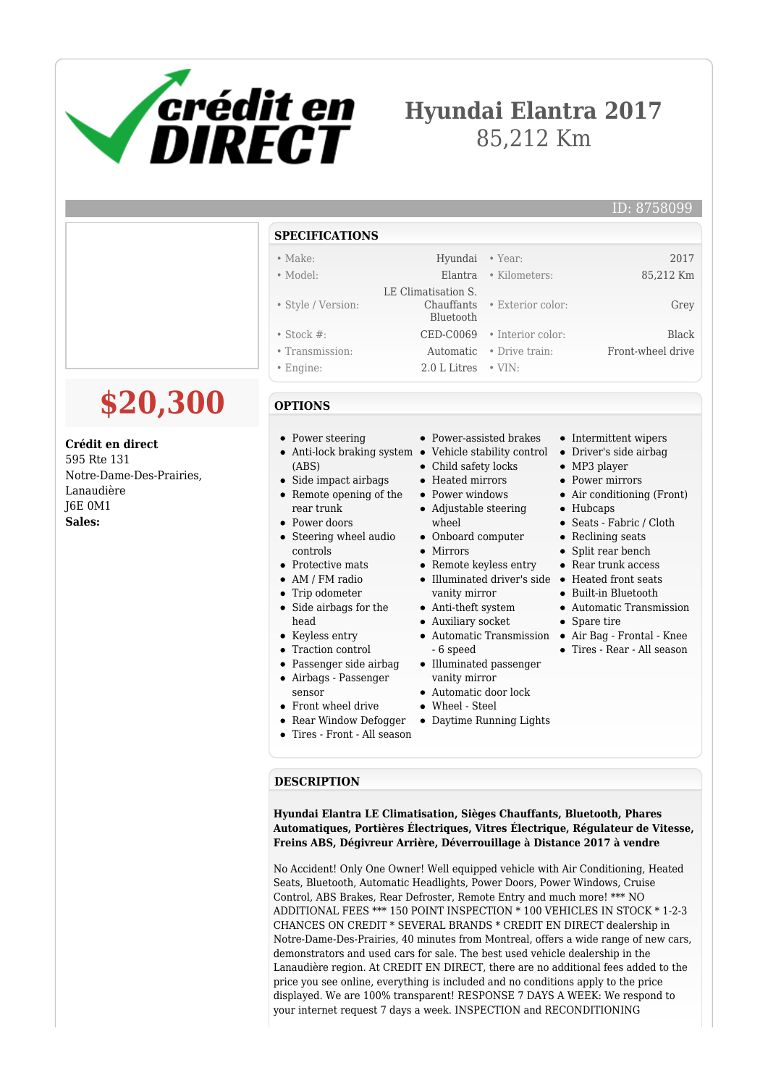

# **Hyundai Elantra 2017** 85,212 Km

#### ID: 8758099

#### **SPECIFICATIONS** • Make: Hyundai • Year: 2017 • Model: Elantra • Kilometers: 85,212 Km • Style / Version: LE Climatisation S. Chauffants Bluetooth • Exterior color: Grey • Stock #: CED-C0069 • Interior color: Black • Transmission: Automatic • Drive train: Front-wheel drive • Engine: 2.0 L Litres • VIN:

### **OPTIONS**

- Power steering
- Anti-lock braking system Vehicle stability control Driver's side airbag (ABS)
- Side impact airbags
- Remote opening of the
	-
- rear trunk • Power doors
- Steering wheel audio controls
- Protective mats
- AM / FM radio
- Trip odometer
- Side airbags for the head
- Keyless entry
- Traction control
- Passenger side airbag
- Airbags Passenger
- sensor
- Front wheel drive
- Rear Window Defogger
- Tires Front All season
- Power-assisted brakes
- 
- Child safety locks
- Heated mirrors
- Power windows
- Adjustable steering
- wheel
- Onboard computer
- Mirrors
- Remote keyless entry Illuminated driver's side Heated front seats
- vanity mirror
- Anti-theft system
- Auxiliary socket
- 6 speed
- Illuminated passenger vanity mirror
- Automatic door lock
- Wheel Steel
- Daytime Running Lights

## • Intermittent wipers

- 
- MP3 player
- Power mirrors
- Air conditioning (Front)
- Hubcaps
- Seats Fabric / Cloth
- Reclining seats
- Split rear bench
- Rear trunk access
- 
- Built-in Bluetooth
- Automatic Transmission
- Spare tire
- Automatic Transmission Air Bag Frontal Knee
	- Tires Rear All season

## **DESCRIPTION**

**Hyundai Elantra LE Climatisation, Sièges Chauffants, Bluetooth, Phares Automatiques, Portières Électriques, Vitres Électrique, Régulateur de Vitesse, Freins ABS, Dégivreur Arrière, Déverrouillage à Distance 2017 à vendre**

No Accident! Only One Owner! Well equipped vehicle with Air Conditioning, Heated Seats, Bluetooth, Automatic Headlights, Power Doors, Power Windows, Cruise Control, ABS Brakes, Rear Defroster, Remote Entry and much more! \*\*\* NO ADDITIONAL FEES \*\*\* 150 POINT INSPECTION \* 100 VEHICLES IN STOCK \* 1-2-3 CHANCES ON CREDIT \* SEVERAL BRANDS \* CREDIT EN DIRECT dealership in Notre-Dame-Des-Prairies, 40 minutes from Montreal, offers a wide range of new cars, demonstrators and used cars for sale. The best used vehicle dealership in the Lanaudière region. At CREDIT EN DIRECT, there are no additional fees added to the price you see online, everything is included and no conditions apply to the price displayed. We are 100% transparent! RESPONSE 7 DAYS A WEEK: We respond to your internet request 7 days a week. INSPECTION and RECONDITIONING

**\$20,300**

**Crédit en direct**

595 Rte 131 Notre-Dame-Des-Prairies, Lanaudière J6E 0M1 **Sales:**